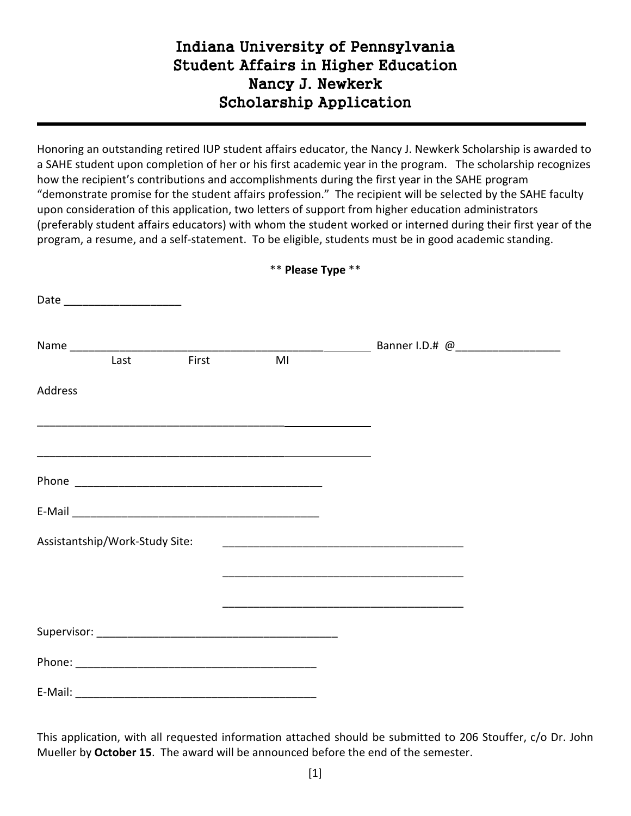## Indiana University of Pennsylvania Student Affairs in Higher Education Nancy J. Newkerk Scholarship Application

Honoring an outstanding retired IUP student affairs educator, the Nancy J. Newkerk Scholarship is awarded to a SAHE student upon completion of her or his first academic year in the program. The scholarship recognizes how the recipient's contributions and accomplishments during the first year in the SAHE program "demonstrate promise for the student affairs profession." The recipient will be selected by the SAHE faculty upon consideration of this application, two letters of support from higher education administrators (preferably student affairs educators) with whom the student worked or interned during their first year of the program, a resume, and a self-statement. To be eligible, students must be in good academic standing.

|                                | Date ________________________ |       |    |  |
|--------------------------------|-------------------------------|-------|----|--|
|                                | Last                          | First | MI |  |
| Address                        |                               |       |    |  |
|                                |                               |       |    |  |
|                                |                               |       |    |  |
|                                |                               |       |    |  |
|                                |                               |       |    |  |
| Assistantship/Work-Study Site: |                               |       |    |  |
|                                |                               |       |    |  |
|                                |                               |       |    |  |
|                                |                               |       |    |  |
| E-Mail:                        |                               |       |    |  |

\*\* **Please Type** \*\*

This application, with all requested information attached should be submitted to 206 Stouffer, c/o Dr. John Mueller by **October 15**. The award will be announced before the end of the semester.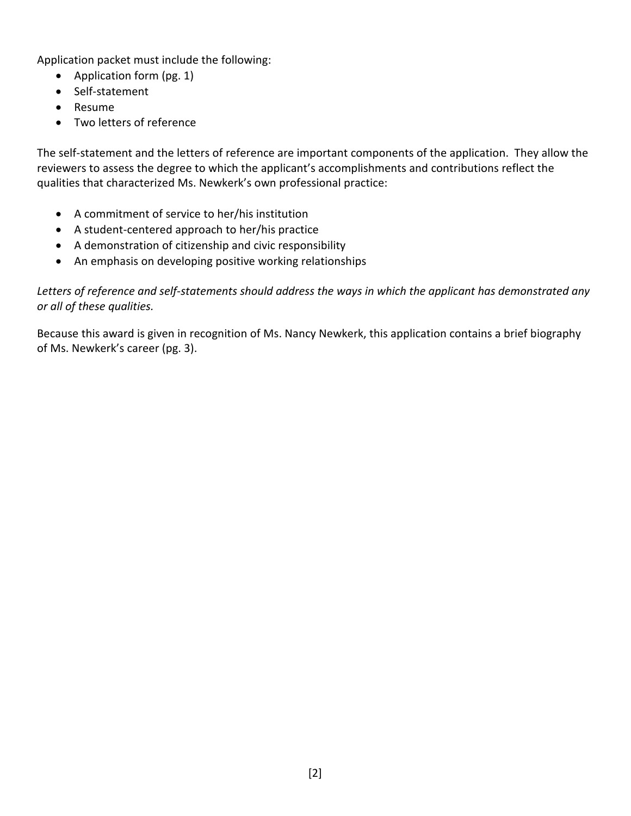Application packet must include the following:

- Application form (pg. 1)
- Self-statement
- Resume
- Two letters of reference

The self-statement and the letters of reference are important components of the application. They allow the reviewers to assess the degree to which the applicant's accomplishments and contributions reflect the qualities that characterized Ms. Newkerk's own professional practice:

- A commitment of service to her/his institution
- A student-centered approach to her/his practice
- A demonstration of citizenship and civic responsibility
- An emphasis on developing positive working relationships

*Letters of reference and self-statements should address the ways in which the applicant has demonstrated any or all of these qualities.*

Because this award is given in recognition of Ms. Nancy Newkerk, this application contains a brief biography of Ms. Newkerk's career (pg. 3).